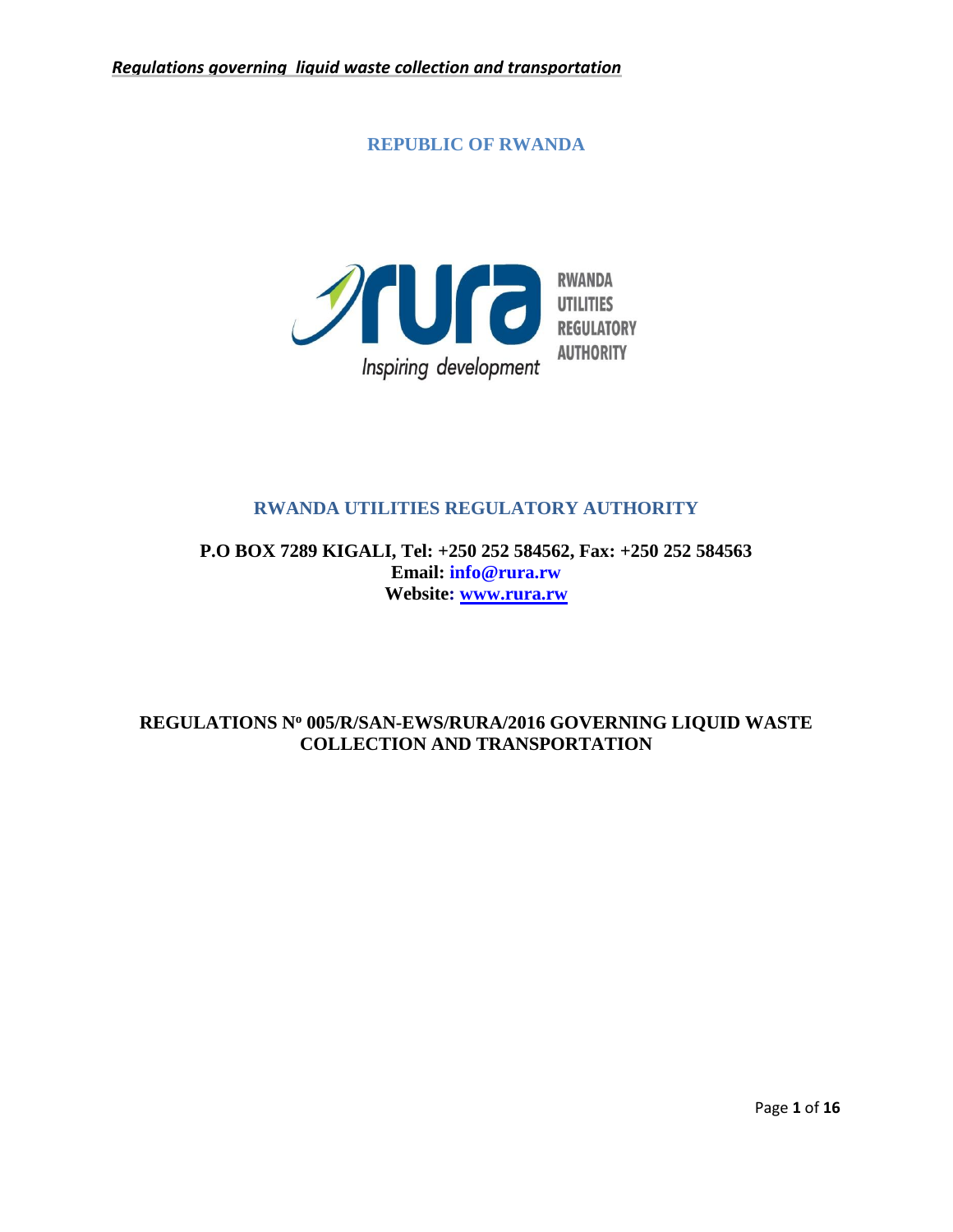**REPUBLIC OF RWANDA**



# **RWANDA UTILITIES REGULATORY AUTHORITY**

**P.O BOX 7289 KIGALI, Tel: +250 252 584562, Fax: +250 252 584563 Email: info@rura.rw Website: [www.rura.rw](http://www.rura.rw/)**

# **REGULATIONS N<sup>o</sup> 005/R/SAN-EWS/RURA/2016 GOVERNING LIQUID WASTE COLLECTION AND TRANSPORTATION**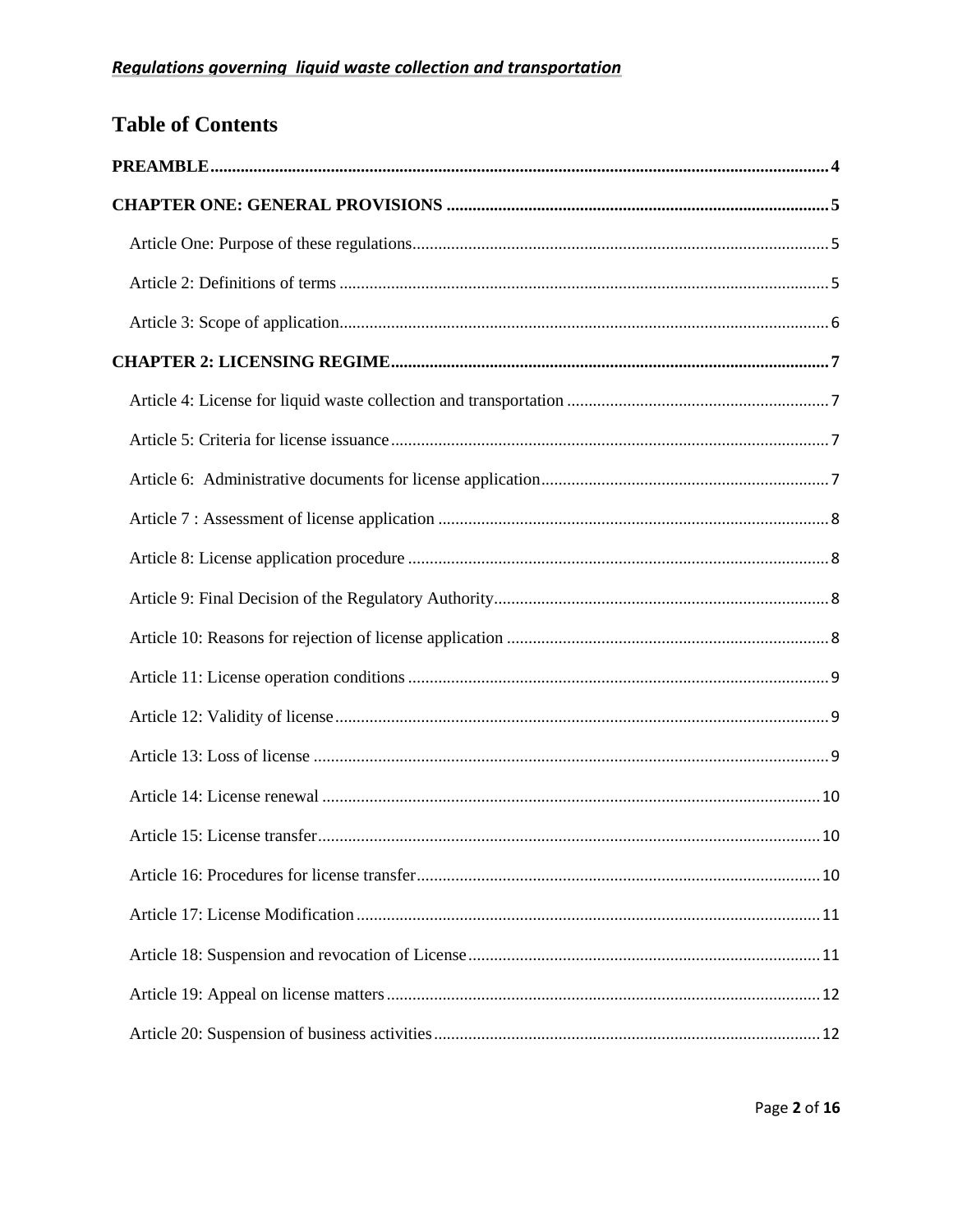# **Table of Contents**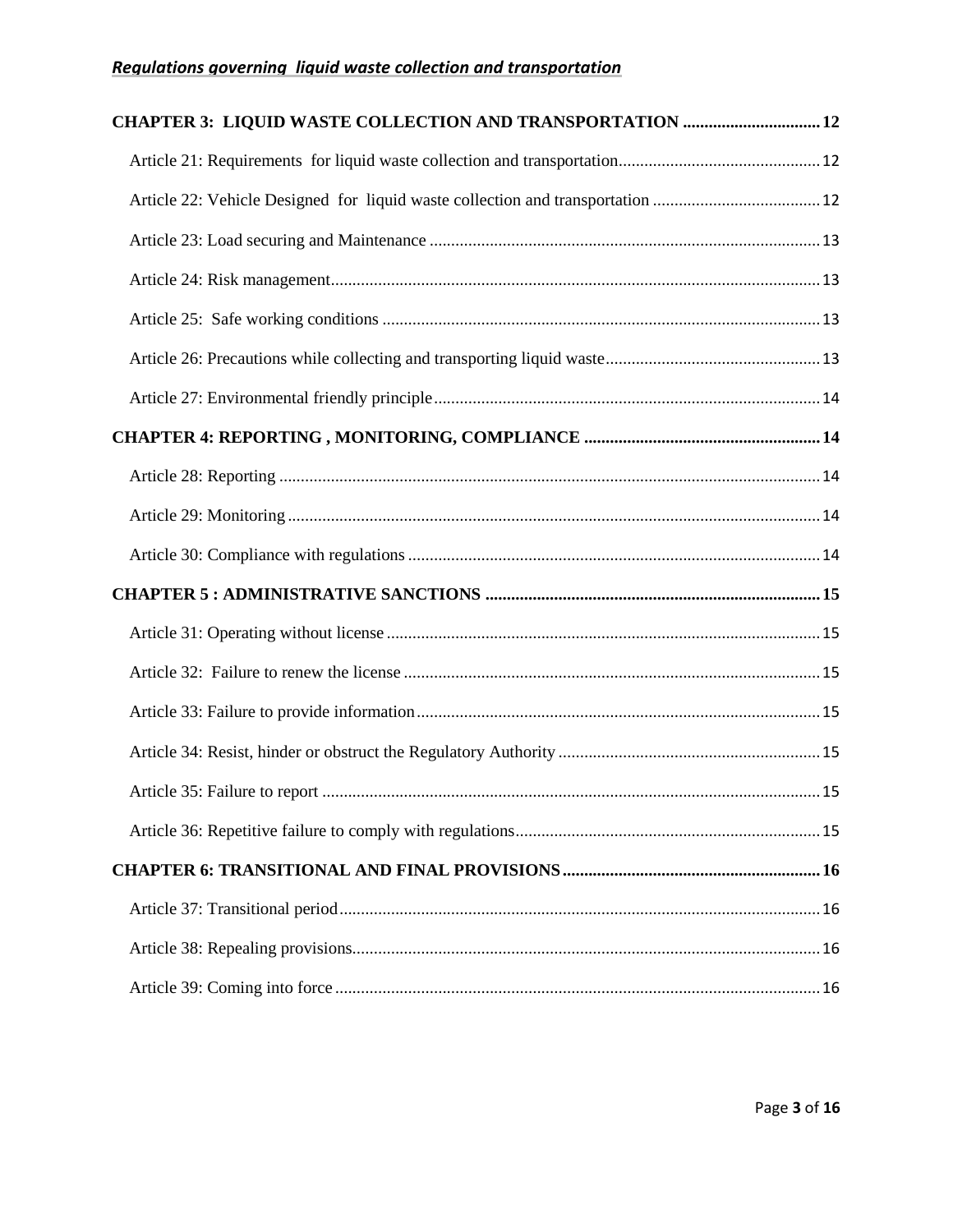| CHAPTER 3: LIQUID WASTE COLLECTION AND TRANSPORTATION  12 |  |  |
|-----------------------------------------------------------|--|--|
|                                                           |  |  |
|                                                           |  |  |
|                                                           |  |  |
|                                                           |  |  |
|                                                           |  |  |
|                                                           |  |  |
|                                                           |  |  |
|                                                           |  |  |
|                                                           |  |  |
|                                                           |  |  |
|                                                           |  |  |
|                                                           |  |  |
|                                                           |  |  |
|                                                           |  |  |
|                                                           |  |  |
|                                                           |  |  |
|                                                           |  |  |
|                                                           |  |  |
|                                                           |  |  |
|                                                           |  |  |
|                                                           |  |  |
|                                                           |  |  |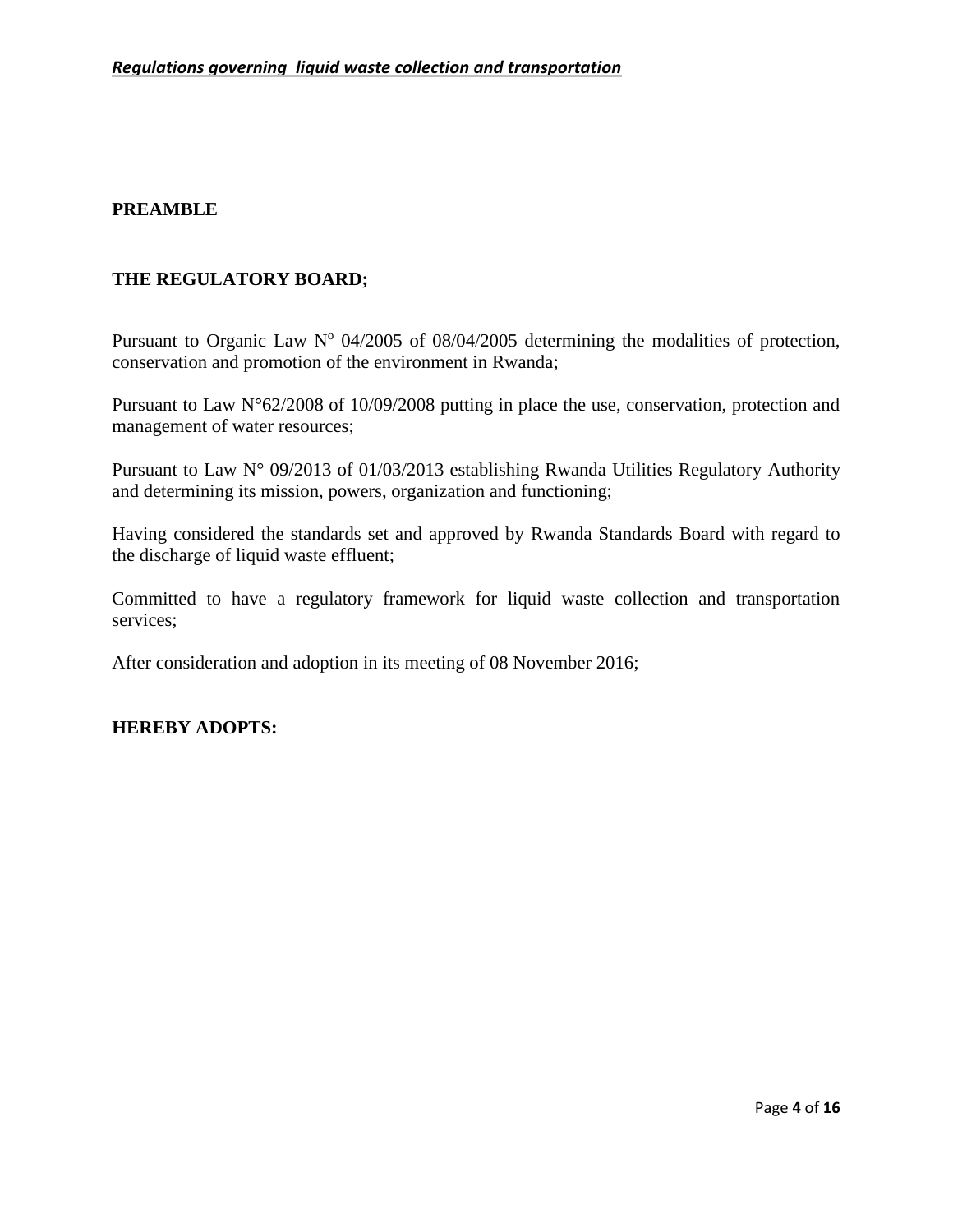# <span id="page-3-0"></span>**PREAMBLE**

# **THE REGULATORY BOARD;**

Pursuant to Organic Law  $N^{\circ}$  04/2005 of 08/04/2005 determining the modalities of protection, conservation and promotion of the environment in Rwanda;

Pursuant to Law N°62/2008 of 10/09/2008 putting in place the use, conservation, protection and management of water resources;

Pursuant to Law N° 09/2013 of 01/03/2013 establishing Rwanda Utilities Regulatory Authority and determining its mission, powers, organization and functioning;

Having considered the standards set and approved by Rwanda Standards Board with regard to the discharge of liquid waste effluent;

Committed to have a regulatory framework for liquid waste collection and transportation services;

After consideration and adoption in its meeting of 08 November 2016;

## **HEREBY ADOPTS:**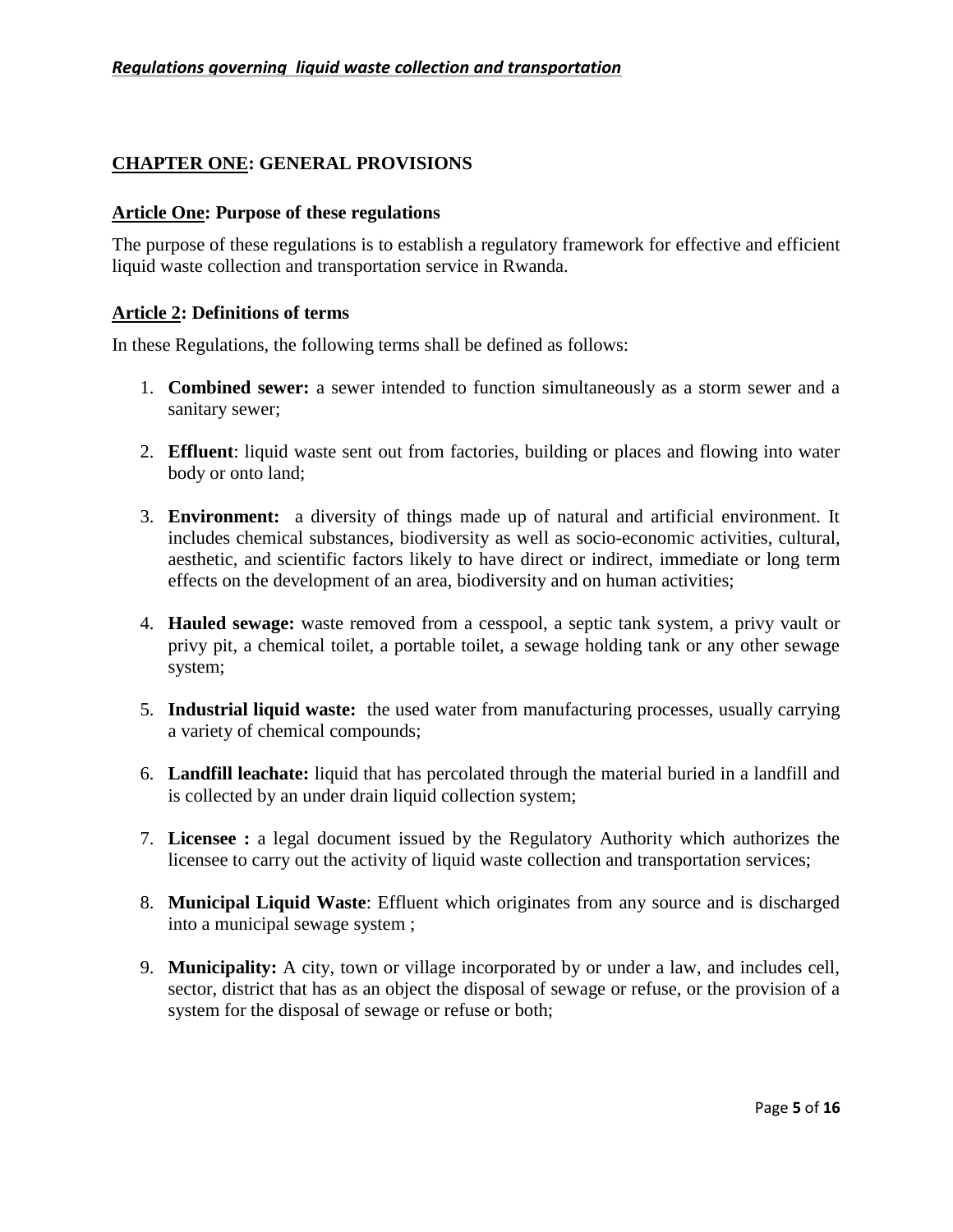# <span id="page-4-0"></span>**CHAPTER ONE: GENERAL PROVISIONS**

#### <span id="page-4-1"></span>**Article One: Purpose of these regulations**

The purpose of these regulations is to establish a regulatory framework for effective and efficient liquid waste collection and transportation service in Rwanda.

#### <span id="page-4-2"></span>**Article 2: Definitions of terms**

In these Regulations, the following terms shall be defined as follows:

- 1. **Combined sewer:** a sewer intended to function simultaneously as a storm sewer and a sanitary sewer;
- 2. **Effluent**: liquid waste sent out from factories, building or places and flowing into water body or onto land;
- 3. **Environment:** a diversity of things made up of natural and artificial environment. It includes chemical substances, biodiversity as well as socio-economic activities, cultural, aesthetic, and scientific factors likely to have direct or indirect, immediate or long term effects on the development of an area, biodiversity and on human activities;
- 4. **Hauled sewage:** waste removed from a cesspool, a septic tank system, a privy vault or privy pit, a chemical toilet, a portable toilet, a sewage holding tank or any other sewage system;
- 5. **Industrial liquid waste:** the used water from manufacturing processes, usually carrying a variety of chemical compounds;
- 6. **Landfill leachate:** liquid that has percolated through the material buried in a landfill and is collected by an under drain liquid collection system;
- 7. **Licensee :** a legal document issued by the Regulatory Authority which authorizes the licensee to carry out the activity of liquid waste collection and transportation services;
- 8. **Municipal Liquid Waste**: Effluent which originates from any source and is discharged into a municipal sewage system ;
- 9. **Municipality:** A city, town or village incorporated by or under a law, and includes cell, sector, district that has as an object the disposal of sewage or refuse, or the provision of a system for the disposal of sewage or refuse or both;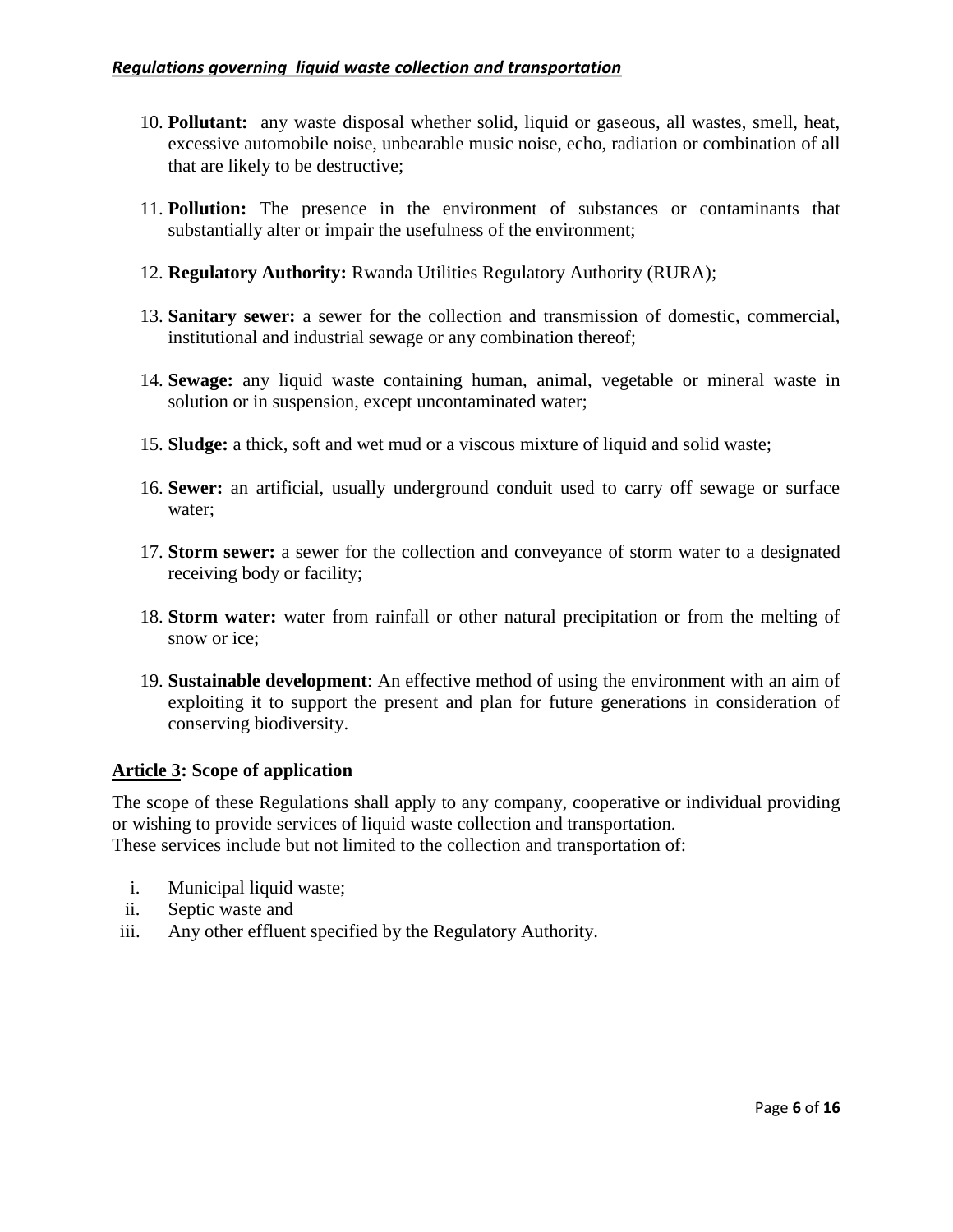- 10. **Pollutant:** any waste disposal whether solid, liquid or gaseous, all wastes, smell, heat, excessive automobile noise, unbearable music noise, echo, radiation or combination of all that are likely to be destructive;
- 11. **Pollution:** The presence in the environment of substances or contaminants that substantially alter or impair the usefulness of the environment;
- 12. **Regulatory Authority:** Rwanda Utilities Regulatory Authority (RURA);
- 13. **Sanitary sewer:** a sewer for the collection and transmission of domestic, commercial, institutional and industrial sewage or any combination thereof;
- 14. **Sewage:** any liquid waste containing human, animal, vegetable or mineral waste in solution or in suspension, except uncontaminated water;
- 15. **Sludge:** a thick, soft and wet mud or a viscous mixture of liquid and solid waste;
- 16. **Sewer:** an artificial, usually underground conduit used to carry off sewage or surface water;
- 17. **Storm sewer:** a sewer for the collection and conveyance of storm water to a designated receiving body or facility;
- 18. **Storm water:** water from rainfall or other natural precipitation or from the melting of snow or ice;
- 19. **Sustainable development**: An effective method of using the environment with an aim of exploiting it to support the present and plan for future generations in consideration of conserving biodiversity.

# <span id="page-5-0"></span>**Article 3: Scope of application**

The scope of these Regulations shall apply to any company, cooperative or individual providing or wishing to provide services of liquid waste collection and transportation. These services include but not limited to the collection and transportation of:

- i. Municipal liquid waste;
- ii. Septic waste and
- iii. Any other effluent specified by the Regulatory Authority.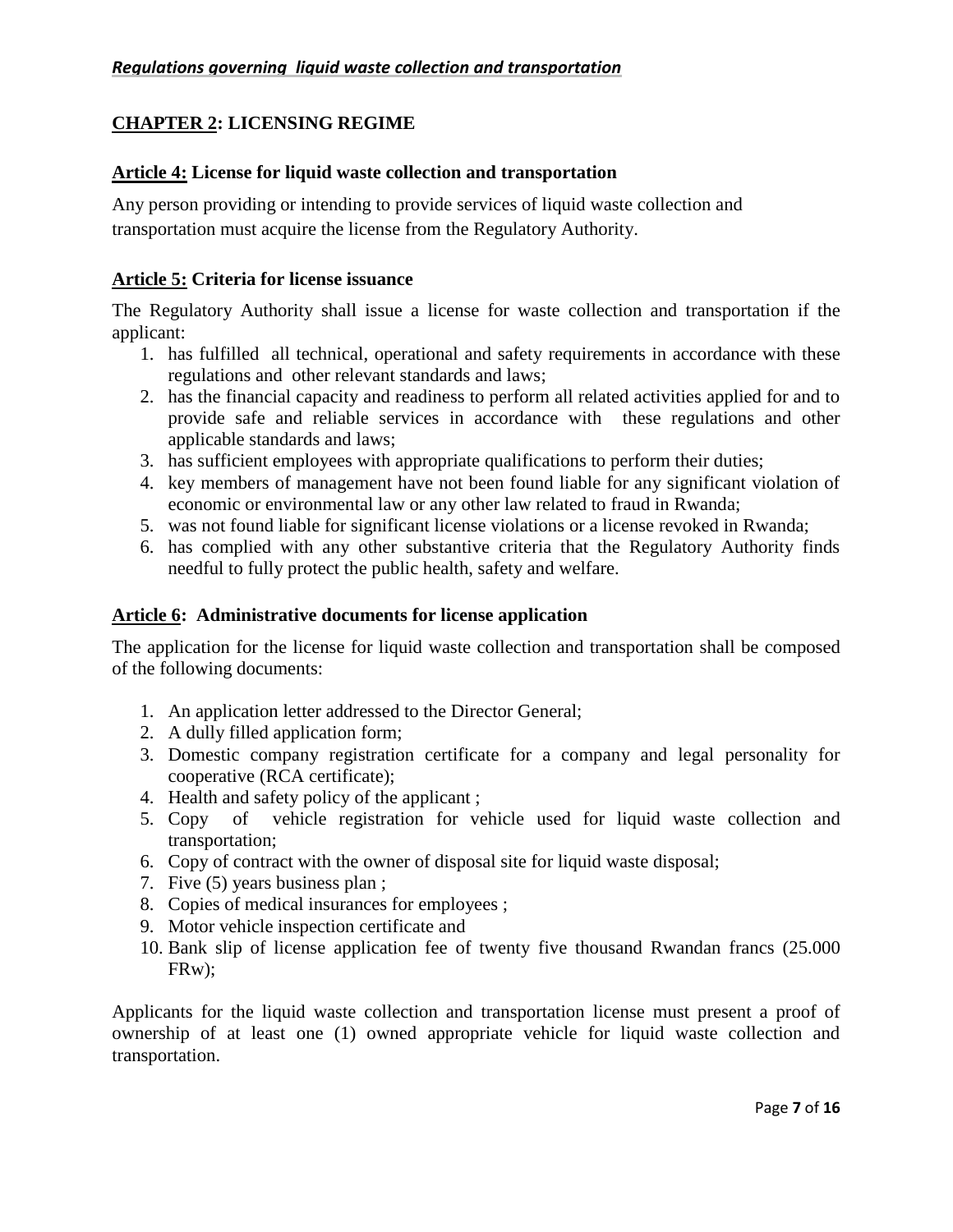# <span id="page-6-0"></span>**CHAPTER 2: LICENSING REGIME**

# <span id="page-6-1"></span>**Article 4: License for liquid waste collection and transportation**

Any person providing or intending to provide services of liquid waste collection and transportation must acquire the license from the Regulatory Authority.

# <span id="page-6-2"></span>**Article 5: Criteria for license issuance**

The Regulatory Authority shall issue a license for waste collection and transportation if the applicant:

- 1. has fulfilled all technical, operational and safety requirements in accordance with these regulations and other relevant standards and laws;
- 2. has the financial capacity and readiness to perform all related activities applied for and to provide safe and reliable services in accordance with these regulations and other applicable standards and laws;
- 3. has sufficient employees with appropriate qualifications to perform their duties;
- 4. key members of management have not been found liable for any significant violation of economic or environmental law or any other law related to fraud in Rwanda;
- 5. was not found liable for significant license violations or a license revoked in Rwanda;
- 6. has complied with any other substantive criteria that the Regulatory Authority finds needful to fully protect the public health, safety and welfare.

# <span id="page-6-3"></span>**Article 6: Administrative documents for license application**

The application for the license for liquid waste collection and transportation shall be composed of the following documents:

- 1. An application letter addressed to the Director General;
- 2. A dully filled application form;
- 3. Domestic company registration certificate for a company and legal personality for cooperative (RCA certificate);
- 4. Health and safety policy of the applicant ;
- 5. Copy of vehicle registration for vehicle used for liquid waste collection and transportation;
- 6. Copy of contract with the owner of disposal site for liquid waste disposal;
- 7. Five (5) years business plan ;
- 8. Copies of medical insurances for employees ;
- 9. Motor vehicle inspection certificate and
- 10. Bank slip of license application fee of twenty five thousand Rwandan francs (25.000 FRw);

Applicants for the liquid waste collection and transportation license must present a proof of ownership of at least one (1) owned appropriate vehicle for liquid waste collection and transportation.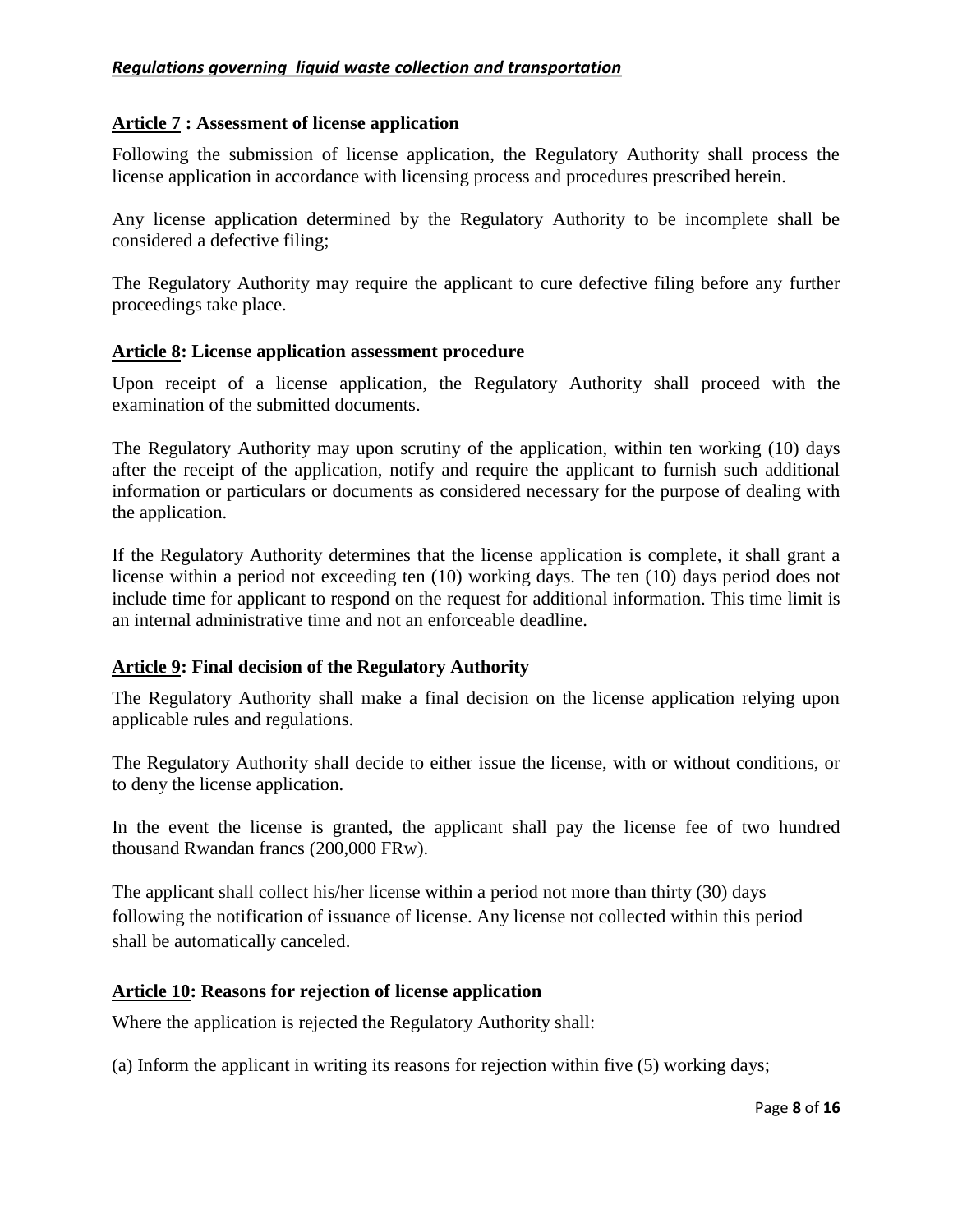## <span id="page-7-0"></span>**Article 7 : Assessment of license application**

Following the submission of license application, the Regulatory Authority shall process the license application in accordance with licensing process and procedures prescribed herein.

Any license application determined by the Regulatory Authority to be incomplete shall be considered a defective filing;

The Regulatory Authority may require the applicant to cure defective filing before any further proceedings take place.

## <span id="page-7-1"></span>**Article 8: License application assessment procedure**

Upon receipt of a license application, the Regulatory Authority shall proceed with the examination of the submitted documents.

The Regulatory Authority may upon scrutiny of the application, within ten working (10) days after the receipt of the application, notify and require the applicant to furnish such additional information or particulars or documents as considered necessary for the purpose of dealing with the application.

If the Regulatory Authority determines that the license application is complete, it shall grant a license within a period not exceeding ten (10) working days. The ten (10) days period does not include time for applicant to respond on the request for additional information. This time limit is an internal administrative time and not an enforceable deadline.

# <span id="page-7-2"></span>**Article 9: Final decision of the Regulatory Authority**

The Regulatory Authority shall make a final decision on the license application relying upon applicable rules and regulations.

The Regulatory Authority shall decide to either issue the license, with or without conditions, or to deny the license application.

In the event the license is granted, the applicant shall pay the license fee of two hundred thousand Rwandan francs (200,000 FRw).

The applicant shall collect his/her license within a period not more than thirty (30) days following the notification of issuance of license. Any license not collected within this period shall be automatically canceled.

## <span id="page-7-3"></span>**Article 10: Reasons for rejection of license application**

Where the application is rejected the Regulatory Authority shall:

(a) Inform the applicant in writing its reasons for rejection within five (5) working days;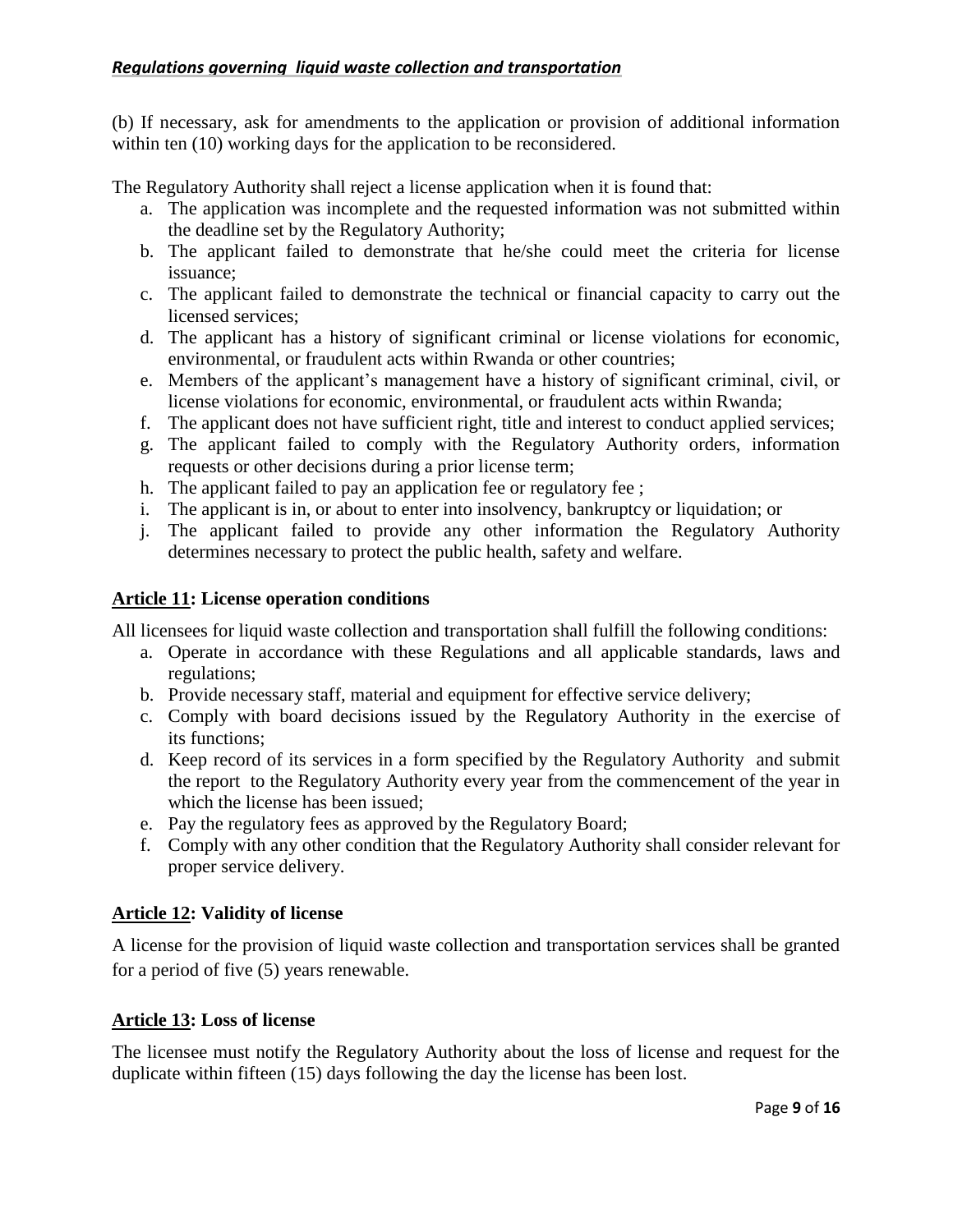(b) If necessary, ask for amendments to the application or provision of additional information within ten (10) working days for the application to be reconsidered.

The Regulatory Authority shall reject a license application when it is found that:

- a. The application was incomplete and the requested information was not submitted within the deadline set by the Regulatory Authority;
- b. The applicant failed to demonstrate that he/she could meet the criteria for license issuance;
- c. The applicant failed to demonstrate the technical or financial capacity to carry out the licensed services;
- d. The applicant has a history of significant criminal or license violations for economic, environmental, or fraudulent acts within Rwanda or other countries;
- e. Members of the applicant's management have a history of significant criminal, civil, or license violations for economic, environmental, or fraudulent acts within Rwanda;
- f. The applicant does not have sufficient right, title and interest to conduct applied services;
- g. The applicant failed to comply with the Regulatory Authority orders, information requests or other decisions during a prior license term;
- h. The applicant failed to pay an application fee or regulatory fee ;
- i. The applicant is in, or about to enter into insolvency, bankruptcy or liquidation; or
- j. The applicant failed to provide any other information the Regulatory Authority determines necessary to protect the public health, safety and welfare.

# <span id="page-8-0"></span>**Article 11: License operation conditions**

All licensees for liquid waste collection and transportation shall fulfill the following conditions:

- a. Operate in accordance with these Regulations and all applicable standards, laws and regulations;
- b. Provide necessary staff, material and equipment for effective service delivery;
- c. Comply with board decisions issued by the Regulatory Authority in the exercise of its functions;
- d. Keep record of its services in a form specified by the Regulatory Authority and submit the report to the Regulatory Authority every year from the commencement of the year in which the license has been issued;
- e. Pay the regulatory fees as approved by the Regulatory Board;
- f. Comply with any other condition that the Regulatory Authority shall consider relevant for proper service delivery.

# <span id="page-8-1"></span>**Article 12: Validity of license**

A license for the provision of liquid waste collection and transportation services shall be granted for a period of five (5) years renewable.

# <span id="page-8-2"></span>**Article 13: Loss of license**

The licensee must notify the Regulatory Authority about the loss of license and request for the duplicate within fifteen (15) days following the day the license has been lost.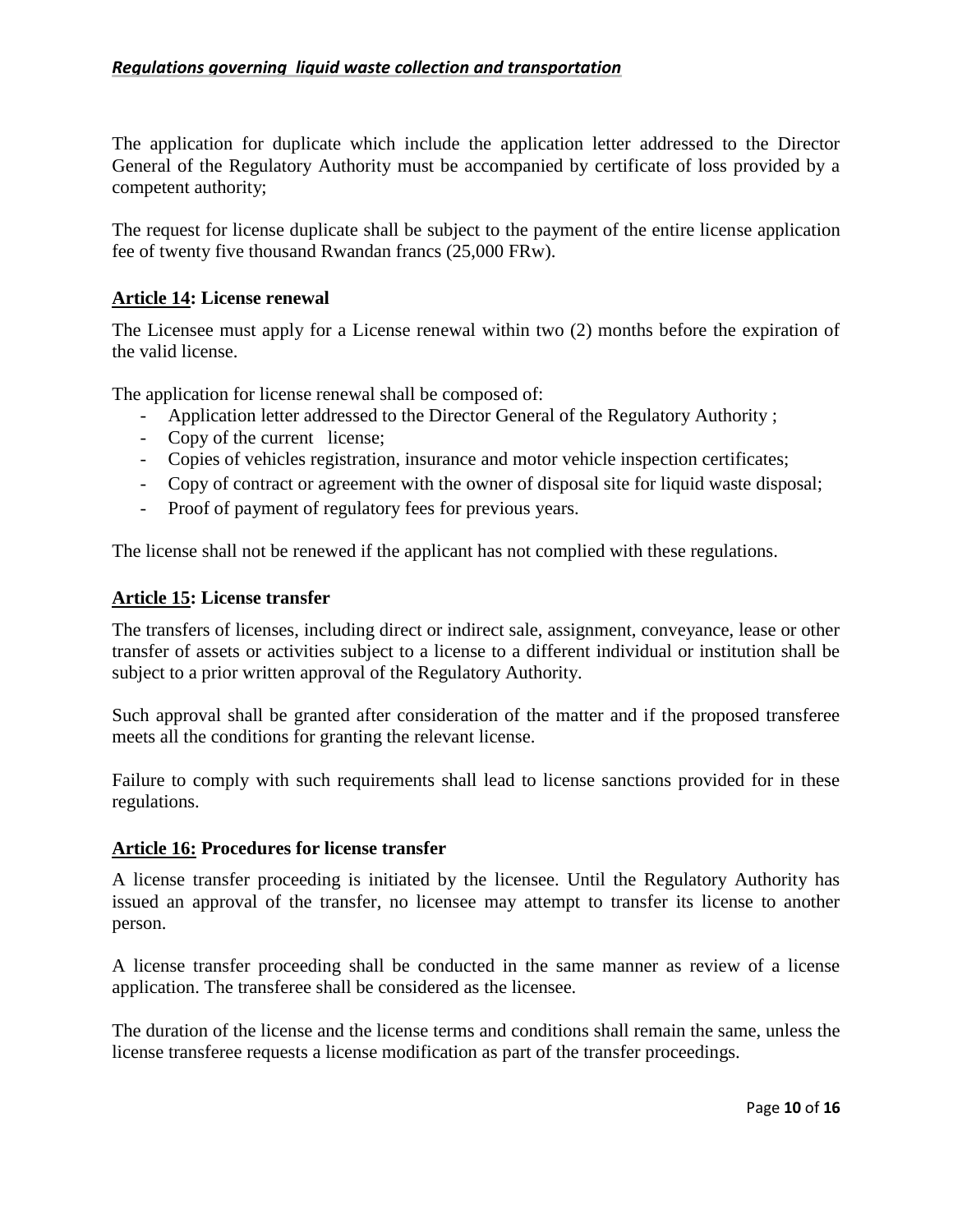The application for duplicate which include the application letter addressed to the Director General of the Regulatory Authority must be accompanied by certificate of loss provided by a competent authority;

The request for license duplicate shall be subject to the payment of the entire license application fee of twenty five thousand Rwandan francs (25,000 FRw).

## <span id="page-9-0"></span>**Article 14: License renewal**

The Licensee must apply for a License renewal within two (2) months before the expiration of the valid license.

The application for license renewal shall be composed of:

- Application letter addressed to the Director General of the Regulatory Authority ;
- Copy of the current license;
- Copies of vehicles registration, insurance and motor vehicle inspection certificates;
- Copy of contract or agreement with the owner of disposal site for liquid waste disposal;
- Proof of payment of regulatory fees for previous years.

<span id="page-9-1"></span>The license shall not be renewed if the applicant has not complied with these regulations.

#### **Article 15: License transfer**

The transfers of licenses, including direct or indirect sale, assignment, conveyance, lease or other transfer of assets or activities subject to a license to a different individual or institution shall be subject to a prior written approval of the Regulatory Authority.

Such approval shall be granted after consideration of the matter and if the proposed transferee meets all the conditions for granting the relevant license.

Failure to comply with such requirements shall lead to license sanctions provided for in these regulations.

#### <span id="page-9-2"></span>**Article 16: Procedures for license transfer**

A license transfer proceeding is initiated by the licensee. Until the Regulatory Authority has issued an approval of the transfer, no licensee may attempt to transfer its license to another person.

A license transfer proceeding shall be conducted in the same manner as review of a license application. The transferee shall be considered as the licensee.

The duration of the license and the license terms and conditions shall remain the same, unless the license transferee requests a license modification as part of the transfer proceedings.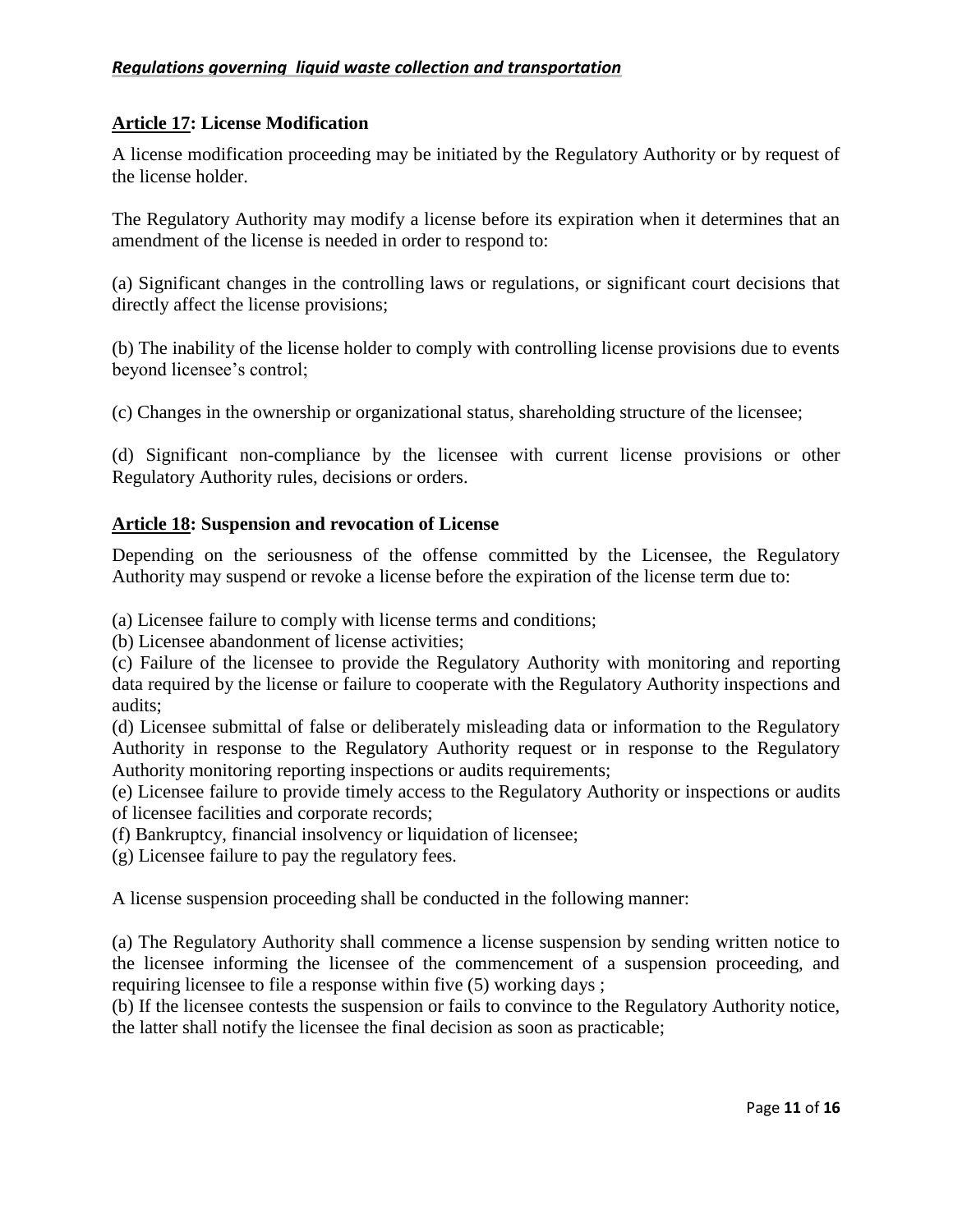# <span id="page-10-0"></span>**Article 17: License Modification**

A license modification proceeding may be initiated by the Regulatory Authority or by request of the license holder.

The Regulatory Authority may modify a license before its expiration when it determines that an amendment of the license is needed in order to respond to:

(a) Significant changes in the controlling laws or regulations, or significant court decisions that directly affect the license provisions;

(b) The inability of the license holder to comply with controlling license provisions due to events beyond licensee's control;

(c) Changes in the ownership or organizational status, shareholding structure of the licensee;

(d) Significant non-compliance by the licensee with current license provisions or other Regulatory Authority rules, decisions or orders.

# <span id="page-10-1"></span>**Article 18: Suspension and revocation of License**

Depending on the seriousness of the offense committed by the Licensee, the Regulatory Authority may suspend or revoke a license before the expiration of the license term due to:

(a) Licensee failure to comply with license terms and conditions;

(b) Licensee abandonment of license activities;

(c) Failure of the licensee to provide the Regulatory Authority with monitoring and reporting data required by the license or failure to cooperate with the Regulatory Authority inspections and audits;

(d) Licensee submittal of false or deliberately misleading data or information to the Regulatory Authority in response to the Regulatory Authority request or in response to the Regulatory Authority monitoring reporting inspections or audits requirements;

(e) Licensee failure to provide timely access to the Regulatory Authority or inspections or audits of licensee facilities and corporate records;

(f) Bankruptcy, financial insolvency or liquidation of licensee;

(g) Licensee failure to pay the regulatory fees.

A license suspension proceeding shall be conducted in the following manner:

(a) The Regulatory Authority shall commence a license suspension by sending written notice to the licensee informing the licensee of the commencement of a suspension proceeding, and requiring licensee to file a response within five (5) working days ;

(b) If the licensee contests the suspension or fails to convince to the Regulatory Authority notice, the latter shall notify the licensee the final decision as soon as practicable;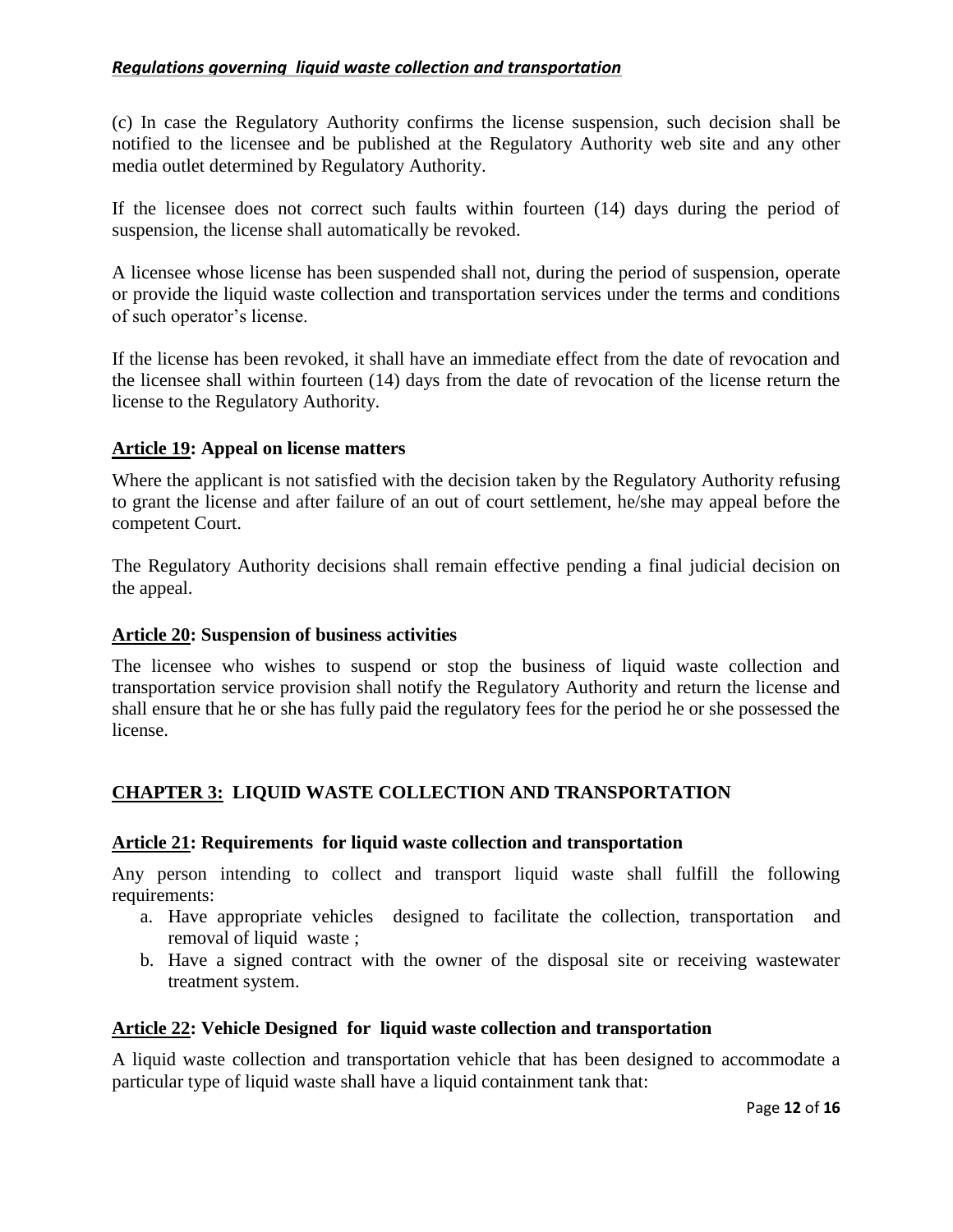(c) In case the Regulatory Authority confirms the license suspension, such decision shall be notified to the licensee and be published at the Regulatory Authority web site and any other media outlet determined by Regulatory Authority.

If the licensee does not correct such faults within fourteen (14) days during the period of suspension, the license shall automatically be revoked.

A licensee whose license has been suspended shall not, during the period of suspension, operate or provide the liquid waste collection and transportation services under the terms and conditions of such operator's license.

If the license has been revoked, it shall have an immediate effect from the date of revocation and the licensee shall within fourteen (14) days from the date of revocation of the license return the license to the Regulatory Authority.

# <span id="page-11-0"></span>**Article 19: Appeal on license matters**

Where the applicant is not satisfied with the decision taken by the Regulatory Authority refusing to grant the license and after failure of an out of court settlement, he/she may appeal before the competent Court.

The Regulatory Authority decisions shall remain effective pending a final judicial decision on the appeal.

## <span id="page-11-1"></span>**Article 20: Suspension of business activities**

The licensee who wishes to suspend or stop the business of liquid waste collection and transportation service provision shall notify the Regulatory Authority and return the license and shall ensure that he or she has fully paid the regulatory fees for the period he or she possessed the license.

# <span id="page-11-2"></span>**CHAPTER 3: LIQUID WASTE COLLECTION AND TRANSPORTATION**

## <span id="page-11-3"></span>**Article 21: Requirements for liquid waste collection and transportation**

Any person intending to collect and transport liquid waste shall fulfill the following requirements:

- a. Have appropriate vehicles designed to facilitate the collection, transportation and removal of liquid waste ;
- b. Have a signed contract with the owner of the disposal site or receiving wastewater treatment system.

## <span id="page-11-4"></span>**Article 22: [Vehicle Designed](http://www.google.rw/url?sa=t&rct=j&q=&esrc=s&source=web&cd=6&cad=rja&uact=8&ved=0ahUKEwif-Izewo3LAhUEthQKHfn3AQcQFgg7MAU&url=http%3A%2F%2Fwww.rca.ac.uk%2Fschools%2Fschool-of-design%2Fvehicle-design%2F&usg=AFQjCNE2ut-7BThMRNJqnfVIJeiWJjjsXA) for liquid waste collection and transportation**

A liquid waste collection and transportation vehicle that has been designed to accommodate a particular type of liquid waste shall have a liquid containment tank that: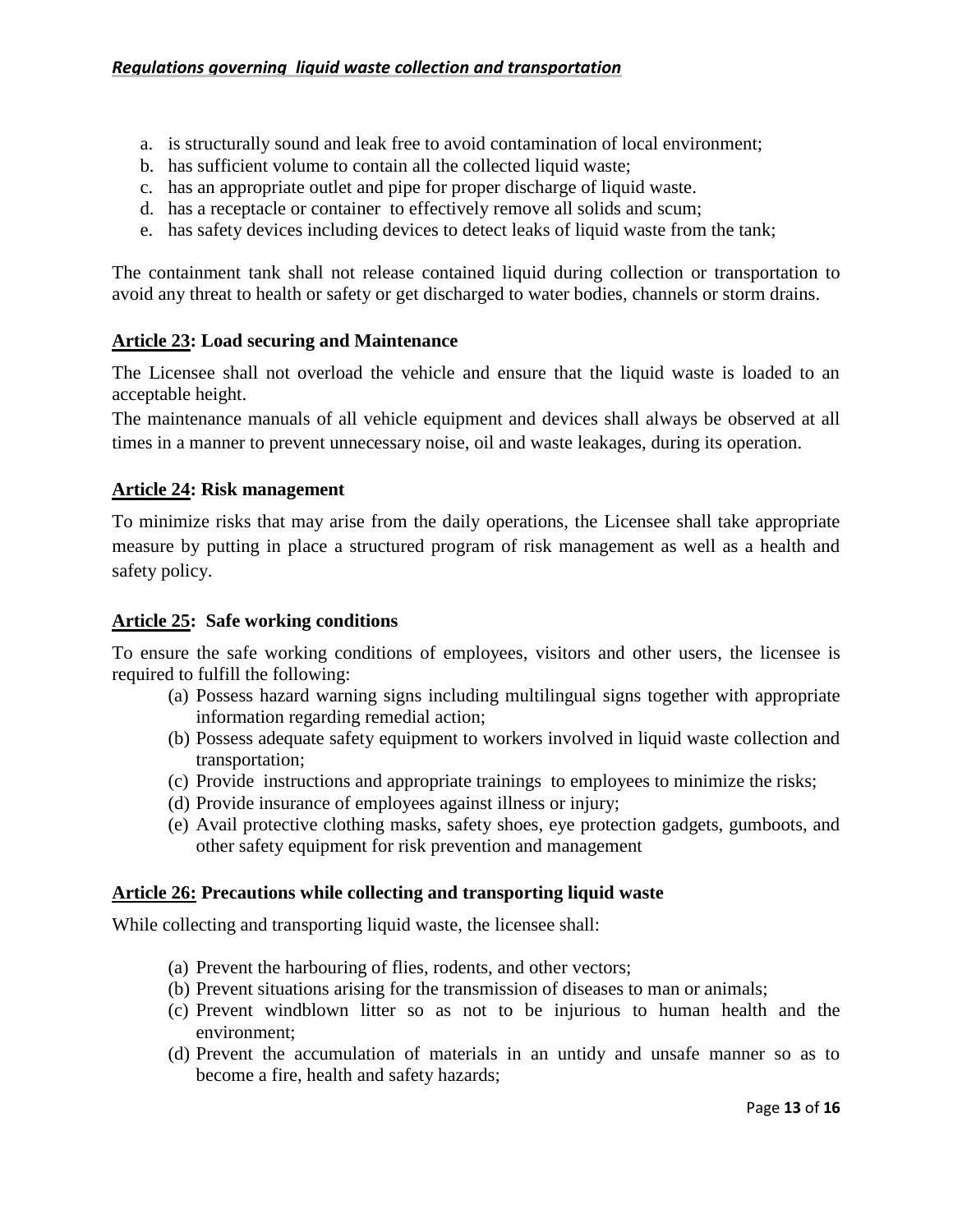- a. is structurally sound and leak free to avoid contamination of local environment;
- b. has sufficient volume to contain all the collected liquid waste;
- c. has an appropriate outlet and pipe for proper discharge of liquid waste.
- d. has a receptacle or container to effectively remove all solids and scum;
- e. has safety devices including devices to detect leaks of liquid waste from the tank;

The containment tank shall not release contained liquid during collection or transportation to avoid any threat to health or safety or get discharged to water bodies, channels or storm drains.

# <span id="page-12-0"></span>**Article 23: [Load securing](https://www.google.rw/url?sa=t&rct=j&q=&esrc=s&source=web&cd=1&cad=rja&uact=8&ved=0ahUKEwjx0M6S5I_LAhUMnBoKHdFQA4YQFggaMAA&url=https%3A%2F%2Fwww.gov.uk%2Fgovernment%2Fpublications%2Fload-securing-vehicle-operator-guidance%2Fload-securing-vehicle-operator-guidance&usg=AFQjCNGYE4ASYLgNmjvFkwjgYAB_KmIYyQ) and Maintenance**

The Licensee shall not overload the vehicle and ensure that the liquid waste is loaded to an acceptable height.

The maintenance manuals of all vehicle equipment and devices shall always be observed at all times in a manner to prevent unnecessary noise, oil and waste leakages, during its operation.

# <span id="page-12-1"></span>**Article 24: Risk management**

To minimize risks that may arise from the daily operations, the Licensee shall take appropriate measure by putting in place a structured program of risk management as well as a health and safety policy.

## <span id="page-12-2"></span>**Article 25: Safe working conditions**

To ensure the safe working conditions of employees, visitors and other users, the licensee is required to fulfill the following:

- (a) Possess hazard warning signs including multilingual signs together with appropriate information regarding remedial action;
- (b) Possess adequate safety equipment to workers involved in liquid waste collection and transportation;
- (c) Provide instructions and appropriate trainings to employees to minimize the risks;
- (d) Provide insurance of employees against illness or injury;
- (e) Avail protective clothing masks, safety shoes, eye protection gadgets, gumboots, and other safety equipment for risk prevention and management

## <span id="page-12-3"></span>**Article 26: Precautions while collecting and transporting liquid waste**

While collecting and transporting liquid waste, the licensee shall:

- (a) Prevent the harbouring of flies, rodents, and other vectors;
- (b) Prevent situations arising for the transmission of diseases to man or animals;
- (c) Prevent windblown litter so as not to be injurious to human health and the environment;
- (d) Prevent the accumulation of materials in an untidy and unsafe manner so as to become a fire, health and safety hazards;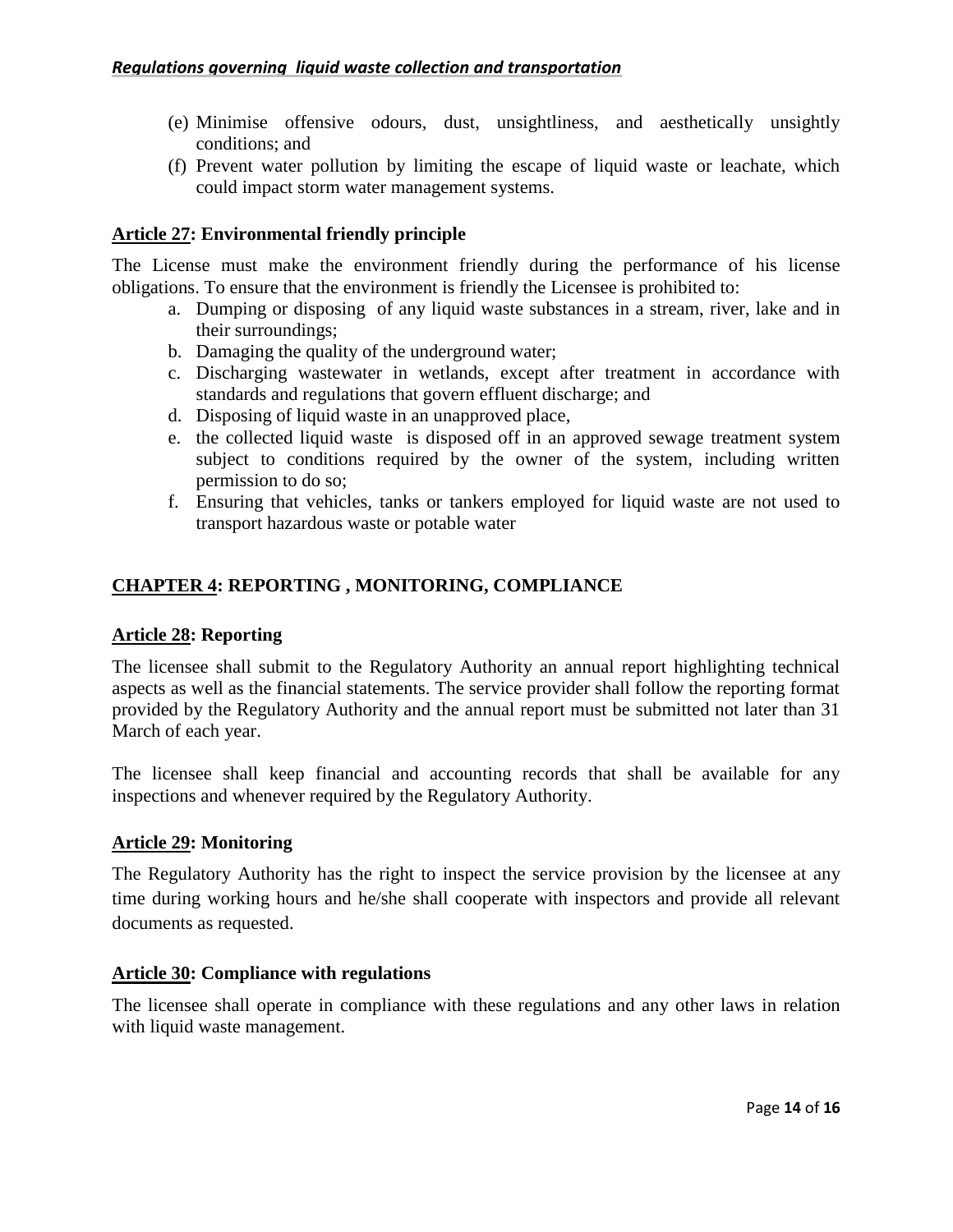- (e) Minimise offensive odours, dust, unsightliness, and aesthetically unsightly conditions; and
- (f) Prevent water pollution by limiting the escape of liquid waste or leachate, which could impact storm water management systems.

# <span id="page-13-0"></span>**Article 27: Environmental friendly principle**

The License must make the environment friendly during the performance of his license obligations. To ensure that the environment is friendly the Licensee is prohibited to:

- a. Dumping or disposing of any liquid waste substances in a stream, river, lake and in their surroundings;
- b. Damaging the quality of the underground water;
- c. Discharging wastewater in wetlands, except after treatment in accordance with standards and regulations that govern effluent discharge; and
- d. Disposing of liquid waste in an unapproved place,
- e. the collected liquid waste is disposed off in an approved sewage treatment system subject to conditions required by the owner of the system, including written permission to do so;
- f. Ensuring that vehicles, tanks or tankers employed for liquid waste are not used to transport hazardous waste or potable water

# <span id="page-13-1"></span>**CHAPTER 4: REPORTING , MONITORING, COMPLIANCE**

## <span id="page-13-2"></span>**Article 28: Reporting**

The licensee shall submit to the Regulatory Authority an annual report highlighting technical aspects as well as the financial statements. The service provider shall follow the reporting format provided by the Regulatory Authority and the annual report must be submitted not later than 31 March of each year.

The licensee shall keep financial and accounting records that shall be available for any inspections and whenever required by the Regulatory Authority.

## <span id="page-13-3"></span>**Article 29: Monitoring**

The Regulatory Authority has the right to inspect the service provision by the licensee at any time during working hours and he/she shall cooperate with inspectors and provide all relevant documents as requested.

## <span id="page-13-4"></span>**Article 30: Compliance with regulations**

The licensee shall operate in compliance with these regulations and any other laws in relation with liquid waste management.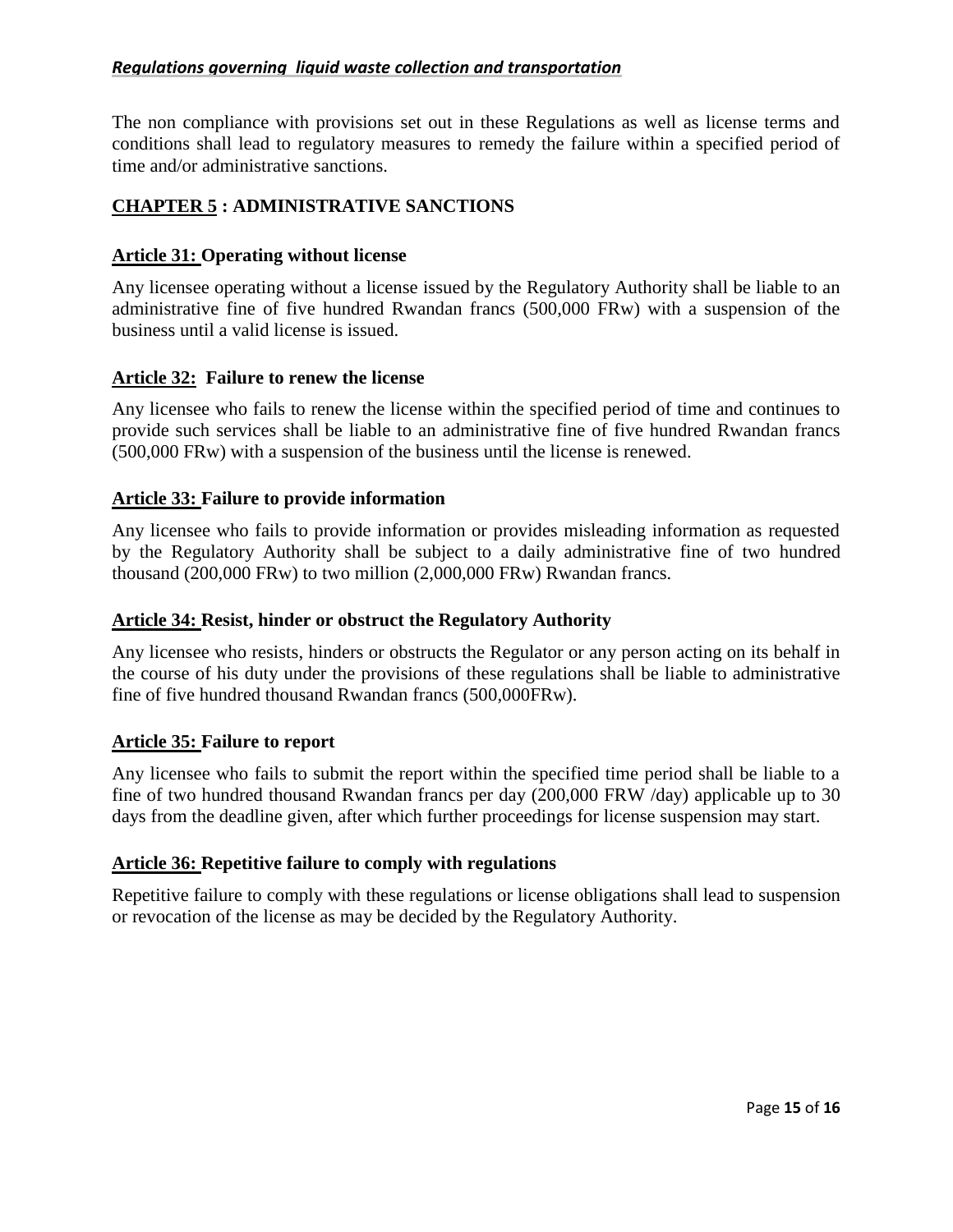The non compliance with provisions set out in these Regulations as well as license terms and conditions shall lead to regulatory measures to remedy the failure within a specified period of time and/or administrative sanctions.

# <span id="page-14-0"></span>**CHAPTER 5 : ADMINISTRATIVE SANCTIONS**

# <span id="page-14-1"></span>**Article 31: Operating without license**

Any licensee operating without a license issued by the Regulatory Authority shall be liable to an administrative fine of five hundred Rwandan francs (500,000 FRw) with a suspension of the business until a valid license is issued.

# <span id="page-14-2"></span>**Article 32: Failure to renew the license**

Any licensee who fails to renew the license within the specified period of time and continues to provide such services shall be liable to an administrative fine of five hundred Rwandan francs (500,000 FRw) with a suspension of the business until the license is renewed.

# <span id="page-14-3"></span>**Article 33: Failure to provide information**

Any licensee who fails to provide information or provides misleading information as requested by the Regulatory Authority shall be subject to a daily administrative fine of two hundred thousand (200,000 FRw) to two million (2,000,000 FRw) Rwandan francs.

## <span id="page-14-4"></span>**Article 34: Resist, hinder or obstruct the Regulatory Authority**

Any licensee who resists, hinders or obstructs the Regulator or any person acting on its behalf in the course of his duty under the provisions of these regulations shall be liable to administrative fine of five hundred thousand Rwandan francs (500,000FRw).

## <span id="page-14-5"></span>**Article 35: Failure to report**

Any licensee who fails to submit the report within the specified time period shall be liable to a fine of two hundred thousand Rwandan francs per day (200,000 FRW /day) applicable up to 30 days from the deadline given, after which further proceedings for license suspension may start.

## <span id="page-14-6"></span>**Article 36: Repetitive failure to comply with regulations**

Repetitive failure to comply with these regulations or license obligations shall lead to suspension or revocation of the license as may be decided by the Regulatory Authority.